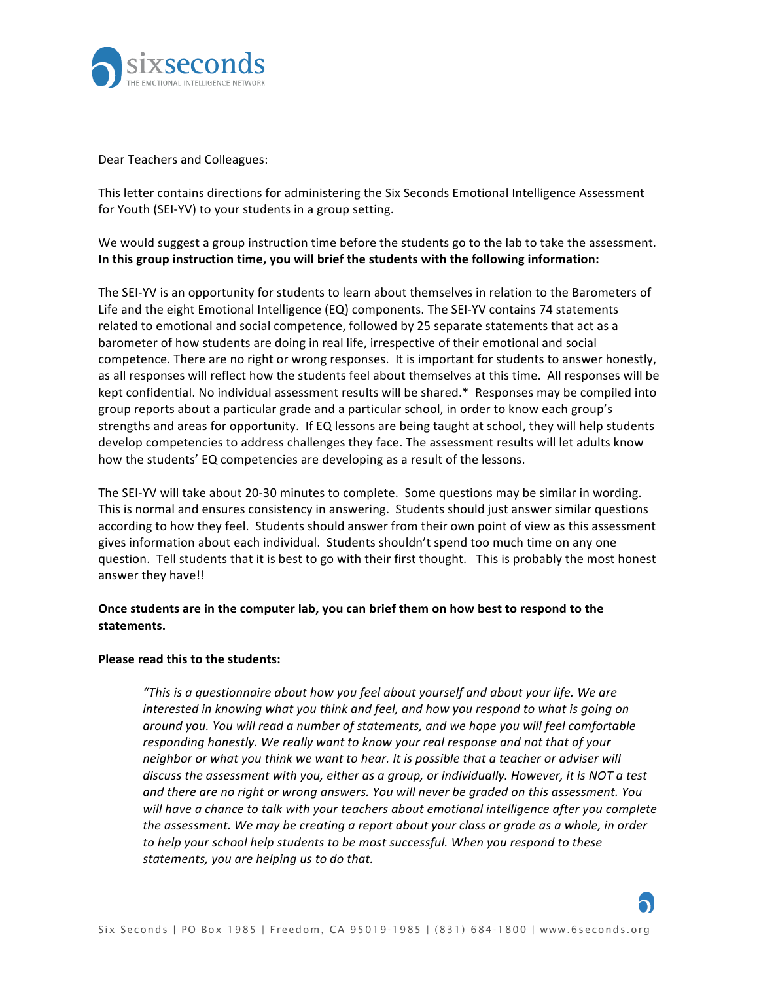

Dear Teachers and Colleagues:

This letter contains directions for administering the Six Seconds Emotional Intelligence Assessment for Youth (SEI-YV) to your students in a group setting.

We would suggest a group instruction time before the students go to the lab to take the assessment. In this group instruction time, you will brief the students with the following information:

The SEI-YV is an opportunity for students to learn about themselves in relation to the Barometers of Life and the eight Emotional Intelligence  $(EQ)$  components. The SEI-YV contains 74 statements related to emotional and social competence, followed by 25 separate statements that act as a barometer of how students are doing in real life, irrespective of their emotional and social competence. There are no right or wrong responses. It is important for students to answer honestly, as all responses will reflect how the students feel about themselves at this time. All responses will be kept confidential. No individual assessment results will be shared. $*$  Responses may be compiled into group reports about a particular grade and a particular school, in order to know each group's strengths and areas for opportunity. If EQ lessons are being taught at school, they will help students develop competencies to address challenges they face. The assessment results will let adults know how the students' EQ competencies are developing as a result of the lessons.

The SEI-YV will take about 20-30 minutes to complete. Some questions may be similar in wording. This is normal and ensures consistency in answering. Students should just answer similar questions according to how they feel. Students should answer from their own point of view as this assessment gives information about each individual. Students shouldn't spend too much time on any one question. Tell students that it is best to go with their first thought. This is probably the most honest answer they have!!

## **Once students are in the computer lab, you can brief them on how best to respond to the statements.**

## **Please read this to the students:**

*"This* is a questionnaire about how you feel about yourself and about your life. We are *interested in knowing what you think and feel, and how you respond to what is going on around you. You will read a number of statements, and we hope you will feel comfortable responding honestly. We really want to know your real response and not that of your neighbor* or what you think we want to hear. It is possible that a teacher or adviser will discuss the assessment with you, either as a group, or individually. However, it is NOT a test and there are no right or wrong answers. You will never be graded on this assessment. You will have a chance to talk with your teachers about emotional intelligence after you complete *the assessment.* We may be creating a report about your class or grade as a whole, in order to help your school help students to be most successful. When you respond to these statements, you are helping us to do that.